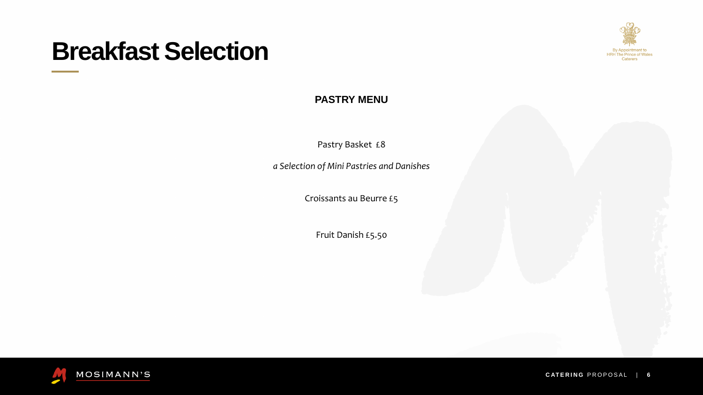# **Breakfast Selection**

Pastry Basket £8

### **PASTRY MENU**



*a Selection of Mini Pastries and Danishes*

Croissants au Beurre £5

Fruit Danish £5.50



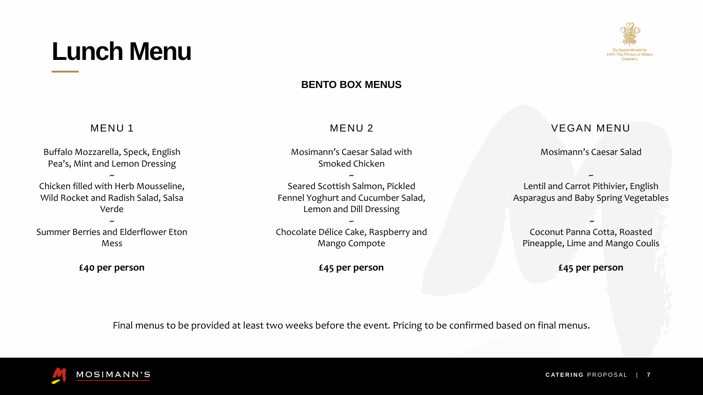#### **BENTO BOX MENUS**

Final menus to be provided at least two weeks before the event*.* Pricing to be confirmed based on final menus.





# **Lunch Menu**

### MENU 1

Buffalo Mozzarella, Speck, English Pea's, Mint and Lemon Dressing ~ Chicken filled with Herb Mousseline, Wild Rocket and Radish Salad, Salsa Verde

~ Summer Berries and Elderflower Eton Mess

**£40 per person**

#### MENU 2

Mosimann's Caesar Salad with Smoked Chicken

~

Seared Scottish Salmon, Pickled Fennel Yoghurt and Cucumber Salad, Lemon and Dill Dressing ~

Chocolate Délice Cake, Raspberry and Mango Compote

#### **£45 per person**

#### VEGAN MENU

Mosimann's Caesar Salad

~

Lentil and Carrot Pithivier, English Asparagus and Baby Spring Vegetables

~

Coconut Panna Cotta, Roasted Pineapple, Lime and Mango Coulis

**£45 per person**

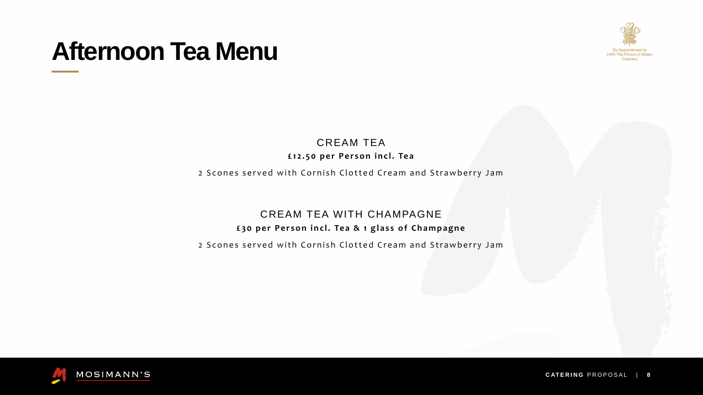#### CREAM TEA **£ 1 2 . 5 0 p e r P e r s o n i n c l . Te a**

### CREAM TEA WITH CHAMPAGNE

#### £30 per Person incl. Tea & 1 glass of Champagne

# **Afternoon Tea Menu**

2 S cones served with Cornish Clotted Cream and Strawberry Jam

2 Scones served with Cornish Clotted Cream and Strawberry Jam